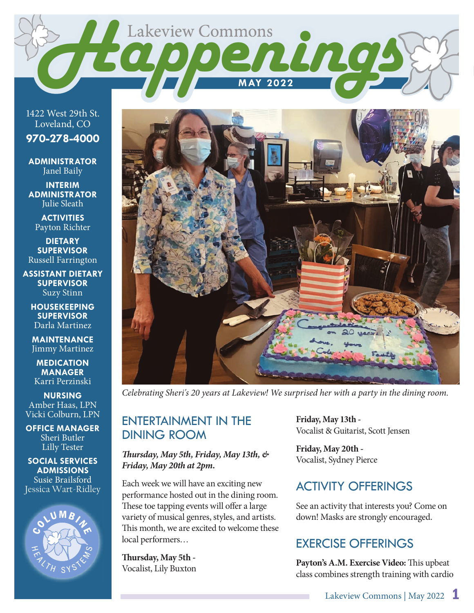

1422 West 29th St. Loveland, CO

**970-278-4000**

**ADMINISTRATOR** Janel Baily

**INTERIM ADMINISTRATOR** Julie Sleath

**ACTIVITIES** Payton Richter

**DIETARY SUPERVISOR** Russell Farrington

**ASSISTANT DIETARY SUPERVISOR** Suzy Stinn

**HOUSEKEEPING SUPERVISOR** Darla Martinez

**MAINTENANCE** Jimmy Martinez

**MEDICATION MANAGER** Karri Perzinski

**NURSING** Amber Haas, LPN Vicki Colburn, LPN

**OFFICE MANAGER** Sheri Butler Lilly Tester

**SOCIAL SERVICES ADMISSIONS** Susie Brailsford Jessica Wart-Ridley





*Celebrating Sheri's 20 years at Lakeview! We surprised her with a party in the dining room.* 

### ENTERTAINMENT IN THE DINING ROOM

 *ursday, May 5th, Friday, May 13th, & Friday, May 20th at 2pm.*

Each week we will have an exciting new performance hosted out in the dining room. These toe tapping events will offer a large variety of musical genres, styles, and artists. This month, we are excited to welcome these local performers…

Thursday, May 5th -Vocalist, Lily Buxton **Friday, May 13th -** Vocalist & Guitarist, Scott Jensen

**Friday, May 20th -** Vocalist, Sydney Pierce

### ACTIVITY OFFERINGS

See an activity that interests you? Come on down! Masks are strongly encouraged.

# EXERCISE OFFERINGS

Payton's A.M. Exercise Video: This upbeat class combines strength training with cardio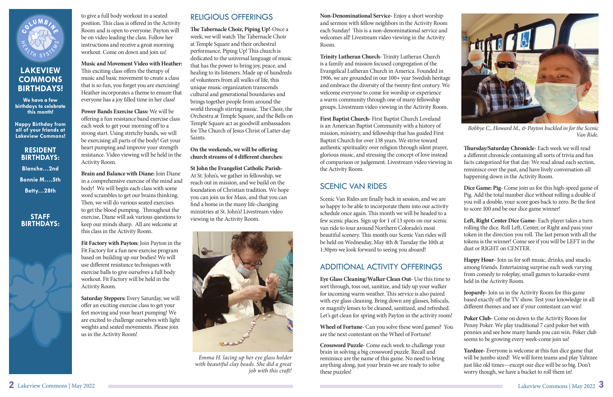to give a full body workout in a seated position. This class is offered in the Activity Room and is open to everyone. Payton will be on video leading the class. Follow her instructions and receive a great morning workout. Come on down and join us!

**Music and Movement Video with Heather:**  This exciting class offers the therapy of music and basic movement to create a class that is so fun, you forget you are exercising! Heather incorporates a theme to ensure that everyone has a joy filled time in her class!

**Power Bands Exercise Class:** We will be offering a fun resistance band exercise class each week to get your morning off to a strong start. Using stretchy bands, we will be exercising all parts of the body! Get your heart pumping and improve your strength resistance. Video viewing will be held in the Activity Room.

**Brain and Balance with Diane:** Join Diane in a comprehensive exercise of the mind and body! We will begin each class with some word scrambles to get our brains thinking. Then, we will do various seated exercises to get the blood pumping. Throughout the exercise, Diane will ask various questions to keep our minds sharp. All are welcome at this class in the Activity Room.

**The Tabernacle Choir, Piping Up!-Once a** week, we will watch The Tabernacle Choir at Temple Square and their orchestral performance, Piping Up! This church is dedicated to the universal language of music that has the power to bring joy, peace, and healing to its listeners. Made up of hundreds of volunteers from all walks of life, this unique music organization transcends cultural and generational boundaries and brings together people from around the world through stirring music. The Choir, the Orchestra at Temple Square, and the Bells on Temple Square act as goodwill ambassadors for The Church of Jesus Christ of Latter-day Saints.

#### On the weekends, we will be offering church streams of 4 different churches:

**Fit Factory with Payton:** Join Payton in the Fit Factory for a fun new exercise program based on building up our bodies! We will use different resistance techniques with exercise balls to give ourselves a full body workout. Fit Factory will be held in the Activity Room.

**Saturday Steppers:** Every Saturday, we will offer an exciting exercise class to get your feet moving and your heart pumping! We are excited to challenge ourselves with light weights and seated movements. Please join us in the Activity Room!

### RELIGIOUS OFFERINGS

Scenic Van Rides are finally back in session, and we are so happy to be able to incorporate them into our activity schedule once again. This month we will be headed to a few scenic places. Sign up for 1 of 13 spots on our scenic van ride to tour around Northern Colorado's most beautiful scenery. This month our Scenic Van rides will be held on Wednesday, May 4th & Tuesday the 10th at 1:30pm-we look forward to seeing you aboard!

**St John the Evangelist Catholic Parish-**At St. John's, we gather in fellowship, we reach out in mission, and we build on the foundation of Christian tradition. We hope you can join us for Mass, and that you can find a home in the many life-changing ministries at St. John's! Livestream video viewing in the Activity Room.

Thursday/Saturday Chronicle- Each week we will read a different chronicle containing all sorts of trivia and fun facts categorized for that day. We read aloud each section, reminisce over the past, and have lively conversation-all happening down in the Activity Room.



# **LAKEVIEW COMMONS BIRTHDAYS!**

**We have a few birthdays to celebrate this month!**

**Happy Birthday from all of your friends at Lakeview Commons!**

#### **RESIDENT BIRTHDAYS:**

Left, Right Center Dice Game- Each player takes a turn rolling the dice. Roll Left, Center, or Right and pass your token in the direction you roll. The last person with all the tokens is the winner! Come see if you will be LEFT in the dust or RIGHT on CENTER.

**Blanche…2nd Bonnie M….5th Betty…28th** 

#### **STAFF BIRTHDAYS:**



**Happy Hour-** Join us for soft music, drinks, and snacks among friends. Entertaining surprise each week varying from comedy to roleplay, small games to karaoke-event held in the Activity Room.

**Jeopardy-** Join us in the Activity Room for this game based exactly off the TV show. Test your knowledge in all different themes and see if your contestant can win!

**Non-Denominational Service-** Enjoy a short worship and sermon with fellow neighbors in the Activity Room each Sunday! This is a non-denominational service and welcomes all! Livestream video viewing in the Activity Room.

> Yardzee- Everyone is welcome at this fun dice game that will be jumbo sized! We will form teams and play Yahtzee just like old times—except our dice will be so big. Don't worry though, we have a bucket to roll them in!



*Emma H. lacing up her eye glass holder with beautiful clay beads. She did a great job with this craft!* 

**Trinity Lutheran Church-** Trinity Lutheran Church is a family and mission focused congregation of the Evangelical Lutheran Church in America. Founded in 1906, we are grounded in our 100+ year Swedish heritage and embrace the diversity of the twenty-first century. We welcome everyone to come for worship or experience a warm community through one of many fellowship groups. Livestream video viewing in the Activity Room.

**First Baptist Church-** First Baptist Church Loveland is an American Baptist Community with a history of mission, ministry, and fellowship that has guided First Baptist Church for over 138 years. We strive toward authentic spirituality over religion through silent prayer, glorious music, and stressing the concept of love instead of comparison or judgement. Livestream video viewing in the Activity Room.

# SCENIC VAN RIDES

# ADDITIONAL ACTIVITY OFFERINGS

**Eye Glass Cleaning/Walker Clean Out-** Use this time to sort through, toss out, sanitize, and tidy up your walker for incoming warm weather. This service is also paired with eye glass cleaning. Bring down any glasses, bifocals, or magnify lenses to be cleaned, sanitized, and refreshed. Let's get clean for spring with Payton in the activity room!

**Crossword Puzzle-** Come each week to challenge your brain in solving a big crossword puzzle. Recall and reminisce are the name of this game. No need to bring anything along, just your brain-we are ready to solve these puzzles!

**Dice Game: Pig-** Come join us for this high-speed game of Pig. Add the total number dice without rolling a double-if you roll a double, your score goes back to zero. Be the first to score 100 and be our dice game winner!

**Wheel of Fortune-** Can you solve these word games? You are the next contestant on the Wheel of Fortune! **Poker Club-** Come on down to the Activity Room for Penny Poker. We play traditional 7 card poker-bet with pennies and see how many hands you can win. Poker club seems to be growing every week-come join us!



*Bobbye C., Howard M., & Payton buckled in for the Scenic Van Ride.*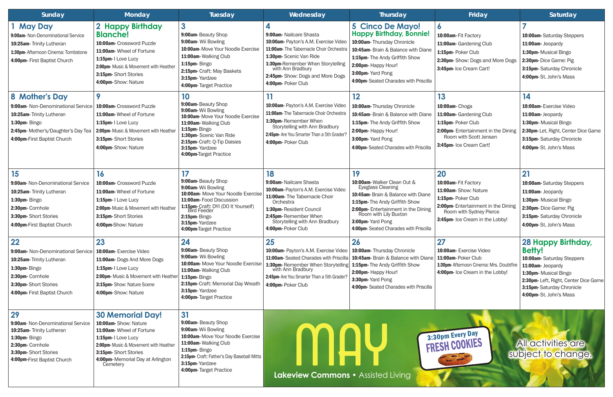| Sunday                                                                                                                                                                 | <b>Monday</b>                                                                                                                                                                                                         | Tuesday                                                                                                                                                                                                                             | Wednesday                                                                                                                                                                                                                                                                                    | Thursday                                                                                                                                                                                                                                                             | Friday                                                                                                                                                                       | Saturday                                                                                                                                                                                                              |
|------------------------------------------------------------------------------------------------------------------------------------------------------------------------|-----------------------------------------------------------------------------------------------------------------------------------------------------------------------------------------------------------------------|-------------------------------------------------------------------------------------------------------------------------------------------------------------------------------------------------------------------------------------|----------------------------------------------------------------------------------------------------------------------------------------------------------------------------------------------------------------------------------------------------------------------------------------------|----------------------------------------------------------------------------------------------------------------------------------------------------------------------------------------------------------------------------------------------------------------------|------------------------------------------------------------------------------------------------------------------------------------------------------------------------------|-----------------------------------------------------------------------------------------------------------------------------------------------------------------------------------------------------------------------|
| l May Day<br>9:00am- Non-Denominational Service<br>10:25am- Trinity Lutheran<br>1:30pm-Afternoon Cinema: Tombstone<br>4:00pm- First Baptist Church                     | 2 Happy Birthday<br><b>Blanche!</b><br>10:00am- Crossword Puzzle<br>11:00am- Wheel of Fortune<br>1:15pm- I Love Lucy<br>2:00pm- Music & Movement with Heather<br>3:15pm-Short Stories<br>4:00pm-Show: Nature          | $\overline{\mathbf{3}}$<br>9:00am-Beauty Shop<br>9:00am- Wii Bowling<br>10:00am- Move Your Noodle Exercise<br>11:00am-Walking Club<br>1:15pm-Bingo<br>2:15pm- Craft: May Baskets<br>3:15pm- Yardzee<br>4:00pm- Target Practice      | 9:00am- Nailcare Shasta<br>10:00am- Payton's A.M. Exercise Video<br>11:00am- The Tabernacle Choir Orchestra<br>1:30pm- Scenic Van Ride<br>1:30pm-Remember When Storytelling<br>with Ann Bradbury<br>2:45pm-Show: Dogs and More Dogs<br>4:00pm- Poker Club                                    | <b>5 Cinco De Mayo!</b><br><b>Happy Birthday, Bonnie!</b><br>10:00am- Thursday Chronicle<br>10:45am- Brain & Balance with Diane<br>1:15pm- The Andy Griffith Show<br>2:00pm- Happy Hour!<br>3:00pm- Yard Pong<br>4:00pm-Seated Charades with Priscilla               | $\bullet$<br>10:00am- Fit Factory<br>11:00am- Gardening Club<br>1:15pm- Poker Club<br>2:30pm- Show: Dogs and More Dogs<br>3:45pm- Ice Cream Cart!                            | 10:00am-Saturday Steppers<br>11:00am- Jeopardy<br>1:30pm- Musical Bingo<br>2:30pm-Dice Game: Pig<br>3:15pm- Saturday Chronicle<br>4:00pm-St. John's Mass                                                              |
| 8 Mother's Day<br>9:00am- Non-Denominational Service<br>10:25am-Trinity Lutheran<br>1:30pm-Bingo<br>2:45pm- Mother's/Daughter's Day Tea<br>4:00pm-First Baptist Church | 10:00am- Crossword Puzzle<br>11:00am- Wheel of Fortune<br>1:15pm- I Love Lucy<br>2:00pm- Music & Movement with Heather<br>3:15pm-Short Stories<br>4:00pm-Show: Nature                                                 | 10<br>9:00am-Beauty Shop<br>9:00am- Wii Bowling<br>10:00am-Move Your Noodle Exercise<br>11:00am-Walking Club<br>1:15pm-Bingo<br>1:30pm- Scenic Van Ride<br>2:15pm- Craft: Q-Tip Daisies<br>3:15pm-Yardzee<br>4:00pm-Target Practice | 10:00am- Payton's A.M. Exercise Video<br>11:00am-The Tabernacle Choir Orchestra<br>1:30pm-Remember When<br>Storytelling with Ann Bradbury<br>2:45pm- Are You Smarter Than a 5th Grader?<br>4:00pm- Poker Club                                                                                | 12<br>10:00am-Thursday Chronicle<br>10:45am- Brain & Balance with Diane<br>1:15pm- The Andy Griffith Show<br>2:00pm- Happy Hour!<br>3:00pm- Yard Pong<br>4:00pm-Seated Charades with Priscilla                                                                       | 13<br>10:00am-Choga<br>11:00am- Gardening Club<br>1:15pm- Poker Club<br>2:00pm- Entertainment in the Dining<br>Room with Scott Jensen<br>3:45pm- Ice Cream Cart!             | 14<br><b>10:00am-Exercise Video</b><br>11:00am- Jeopardy<br>1:30pm- Musical Bingo<br>2:30pm- Let, Right, Center Dice Game<br>3:15pm- Saturday Chronicle<br>4:00pm-St. John's Mass                                     |
| 15<br>9:00am- Non-Denominational Service<br>10:25am- Trinity Lutheran<br>1:30pm-Bingo<br>2:30pm- Cornhole<br>3:30pm-Short Stories<br>4:00pm-First Baptist Church       | 16<br>10:00am- Crossword Puzzle<br>11:00am- Wheel of Fortune<br>1:15pm- I Love Lucy<br>2:00pm- Music & Movement with Heather<br>3:15pm-Short Stories<br>4:00pm-Show: Nature                                           | 17<br>9:00am-Beauty Shop<br>9:00am- Wii Bowling<br>10:00am- Move Your Noodle Exercise<br>11:00am-Food Discussion<br>1:15pm-Craft: DYI (DO It Yourself)<br>Bird Feeder<br>2:15pm-Bingo<br>3:15pm-Yardzee<br>4:00pm-Target Practice   | 18<br>9:00am-Nailcare Shasta<br>10:00am- Payton's A.M. Exercise Video<br>11:00am- The Tabernacle Choir<br>Orchestra<br>1:30pm-Resident Council<br>2:45pm-Remember When<br>Storytelling with Ann Bradbury<br>4:00pm- Poker Club                                                               | 19<br>10:00am- Walker Clean Out &<br><b>Eyeglass Cleaning</b><br>10:45am- Brain & Balance with Diane<br>1:15pm- The Andy Griffith Show<br>2:00pm- Entertainment in the Dining<br>Room with Lily Buxton<br>3:00pm-Yard Pong<br>4:00pm- Seated Charades with Priscilla | 20<br>10:00am- Fit Factory<br>11:00am-Show: Nature<br>1:15pm- Poker Club<br>2:00pm-Entertainment in the Dining<br>Room with Sydney Pierce<br>3:45pm- Ice Cream in the Lobby! | 21<br>10:00am-Saturday Steppers<br>11:00am- Jeopardy<br>1:30pm- Musical Bingo<br>2:30pm- Dice Game: Pig<br>3:15pm- Saturday Chronicle<br>4:00pm-St. John's Mass                                                       |
| 22<br>9:00am- Non-Denominational Service<br>10:25am-Trinity Lutheran<br>1:30pm-Bingo<br>2:30pm- Cornhole<br>3:30pm-Short Stories<br>4:00pm- First Baptist Church       | 23<br>10:00am- Exercise Video<br>11:00am- Dogs And More Dogs<br>1:15pm- I Love Lucy<br>2:00pm- Music & Movement with Heather<br>3:15pm-Show: Nature Scene<br>4:00pm-Show: Nature                                      | 24<br>9:00am- Beauty Shop<br>9:00am- Wii Bowling<br>10:00am-Move Your Noodle Exercise<br>11:00am-Walking Club<br>1:15pm-Bingo<br>2:15pm- Craft: Memorial Day Wreath<br>3:15pm-Yardzee<br>4:00pm- Target Practice                    | 25<br>10:00am- Payton's A.M. Exercise Video<br>11:00am- Seated Charades with Priscilla<br><b>1:30pm-</b> Remember When Storytelling $\begin{array}{ c c c c }\n1:15\text{pm}$ - The Andy Griffith Show with Ann Bradbury<br>2:45pm- Are You Smarter Than a 5th Grader?<br>4:00pm- Poker Club | 26<br>10:00am- Thursday Chronicle<br>10:45am- Brain & Balance with Diane<br>2:00pm- Happy Hour!<br>3:30pm-Yard Pong<br>4:00pm- Seated Charades with Priscilla                                                                                                        | 27<br>10:00am- Exercise Video<br>11:00am-Poker Club<br>1:30pm-Afternoon Cinema: Mrs. Doubtfire<br>4:00pm- Ice Cream in the Lobby!                                            | <b>28 Happy Birthday,</b><br><b>Betty!</b><br>10:00am-Saturday Steppers<br>11:00am- Jeopardy<br>1:30pm- Musical Bingo<br>2:30pm- Left, Right, Center Dice Game<br>3:15pm-Saturday Chronicle<br>4:00pm-St. John's Mass |
| 29<br>9:00am- Non-Denominational Service<br>10:25am- Trinity Lutheran<br>1:30pm-Bingo<br>2:30pm- Cornhole<br>3:30pm-Short Stories<br>4:00pm-First Baptist Church       | <b>30 Memorial Day!</b><br>10:00am-Show: Nature<br>11:00am- Wheel of Fortune<br>1:15pm- I Love Lucy<br>2:00pm- Music & Movement with Heather<br>3:15pm-Short Stories<br>4:00pm- Memorial Day at Arlington<br>Cemetery | 31<br>9:00am- Beauty Shop<br>9:00am- Wii Bowling<br>10:00am-Move Your Noodle Exercise<br>11:00am-Walking Club<br>1:15pm-Bingo<br>2:15pm- Craft: Father's Day Baseball Mitts<br>3:15pm-Yardzee<br>4:00pm- Target Practice            | <b>Lakeview Commons • Assisted Living</b>                                                                                                                                                                                                                                                    |                                                                                                                                                                                                                                                                      | 3:30pm Every Day                                                                                                                                                             | <b>All activities are</b><br>subject to change.                                                                                                                                                                       |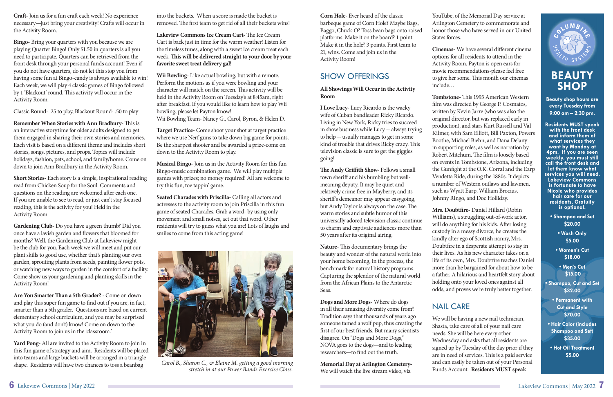**Corn Hole-** Ever heard of the classic barbeque game of Corn Hole? Maybe Bags, Baggo, Chuck-O? Toss bean bags onto raised platforms. Make it on the board? 1 point. Make it in the hole? 3 points. First team to 21, wins. Come and join us in the Activity Room!

# SHOW OFFERINGS

**All Showings Will Occur in the Activity Room** 

**I Love Lucy-** Lucy Ricardo is the wacky wife of Cuban bandleader Ricky Ricardo. Living in New York, Ricky tries to succeed in show business while Lucy -- always trying to help -- usually manages to get in some kind of trouble that drives Ricky crazy. This television classic is sure to get the giggles going!

The Andy Griffith Show-Follows a small town sheriff and his bumbling but wellmeaning deputy. It may be quiet and relatively crime free in Mayberry, and its sheriff's demeanor may appear easygoing, but Andy Taylor is always on the case. The warm stories and subtle humor of this universally adored television classic continue to charm and captivate audiences more than 50 years after its original airing.

**Nature-** This documentary brings the beauty and wonder of the natural world into your home becoming, in the process, the benchmark for natural history programs. Capturing the splendor of the natural world from the African Plains to the Antarctic Seas.

**Dogs and More Dogs-** Where do dogs in all their amazing diversity come from? Tradition says that thousands of years ago someone tamed a wolf pup, thus creating the first of our best friends. But many scientists disagree. On "Dogs and More Dogs," NOVA goes to the dogs—and to leading researchers-to find out the truth.

**Cinemas-** We have several different cinema options for all residents to attend in the Activity Room. Payton is open ears for movie recommendations-please feel free to give her some. This month our cinemas include…

**Tombstone-** This 1993 American Western film was directed by George P. Cosmatos, written by Kevin Jarre (who was also the original director, but was replaced early in production), and stars Kurt Russell and Val Kilmer, with Sam Elliott, Bill Paxton, Powers Boothe, Michael Biehn, and Dana Delany in supporting roles, as well as narration by Robert Mitchum. The film is loosely based on events in Tombstone, Arizona, including the Gunfight at the O.K. Corral and the Earp Vendetta Ride, during the 1880s. It depicts a number of Western outlaws and lawmen, such as Wyatt Earp, William Brocius, Johnny Ringo, and Doc Holliday.

**Mrs. Doubtfire-** Daniel Hillard (Robin

**Memorial Day at Arlington Cemetery-**We will watch the live stream video, via

YouTube, of the Memorial Day service at Arlington Cemetery to commemorate and honor those who have served in our United States forces.

**Craft**-Join us for a fun craft each week! No experience necessary—just bring your creativity! Crafts will occur in the Activity Room.

**Remember When Stories with Ann Bradbury-** This is an interactive storytime for older adults designed to get them engaged in sharing their own stories and memories. Each visit is based on a different theme and includes short stories, songs, pictures, and props. Topics will include holidays, fashion, pets, school, and family/home. Come on down to join Ann Bradbury in the Activity Room.

Are You Smarter Than a 5th Grader? - Come on down and play this super fun game to find out if you are, in fact, smarter than a 5th grader. Questions are based on current elementary school curriculum, and you may be surprised what you do (and don't) know! Come on down to the Activity Room to join us in the 'classroom.'

Williams), a struggling out-of-work actor, will do anything for his kids. After losing custody in a messy divorce, he creates the kindly alter ego of Scottish nanny, Mrs. Doubtfire in a desperate attempt to stay in their lives. As his new character takes on a life of its own, Mrs. Doubtfire teaches Daniel more than he bargained for about how to be a father. A hilarious and heartfelt story about holding onto your loved ones against all odds, and proves we're truly better together.

into the buckets. When a score is made the bucket is removed. The first team to get rid of all their buckets wins!

**Lakeview Commons Ice Cream Cart-** The Ice Cream Cart is back just in time for the warm weather! Listen for the timeless tunes, along with a sweet ice cream treat each week. This will be delivered straight to your door by your **favorite sweet treat delivery gal!**

# NAIL CARE

We will be having a new nail technician, Shasta, take care of all of your nail care needs. She will be here every other Wednesday and asks that all residents are signed up by Tuesday of the day prior if they are in need of services. This is a paid service and can easily be taken out of your Personal Funds Account. **Residents MUST speak** 



**Bingo-** Bring your quarters with you because we are playing Quarter Bingo! Only \$1.50 in quarters is all you need to participate. Quarters can be retrieved from the front desk through your personal funds account! Even if you do not have quarters, do not let this stop you from having some fun at Bingo-candy is always available to win! Each week, we will play 4 classic games of Bingo followed by 1 'Blackout' round. This activity will occur in the Activity Room.

Classic Round- .25 to play, Blackout Round- .50 to play

**Short Stories-** Each story is a simple, inspirational reading read from Chicken Soup for the Soul. Comments and questions on the reading are welcomed after each one. If you are unable to see to read, or just can't stay focused reading, this is the activity for you! Held in the Activity Room.

**Gardening Club-** Do you have a green thumb? Did you once have a lavish garden and flowers that bloomed for months? Well, the Gardening Club at Lakeview might be the club for you. Each week we will meet and put our plant skills to good use, whether that's planting our own garden, sprouting plants from seeds, painting flower pots, or watching new ways to garden in the comfort of a facility. Come show us your gardening and planting skills in the Activity Room!

**Yard Pong-** All are invited to the Activity Room to join in this fun game of strategy and aim. Residents will be placed into teams and large buckets will be arranged in a triangle shape. Residents will have two chances to toss a beanbag

**Wii Bowling-** Like actual bowling, but with a remote. Perform the motions as if you were bowling and your character will match on the screen. This activity will be held in the Activity Room on Tuesday's at 8:45am, right after breakfast. If you would like to learn how to play Wii bowling, please let Payton know! Wii Bowling Team- Nancy G., Carol, Byron, & Helen D.

**Target Practice-** Come shoot your shot at target practice where we use Nerf guns to take down big game for points. Be the sharpest shooter and be awarded a prize-come on down to the Activity Room to play.

**Musical Bingo-** Join us in the Activity Room for this fun Bingo-music combination game. We will play multiple games with prizes; no money required! All are welcome to try this fun, toe tappin' game.

**Seated Charades with Priscilla-** Calling all actors and actresses to the activity room to join Priscilla in this fun game of seated Charades. Grab a word- by using only movement and small noises, act out that word. Other residents will try to guess what you are! Lots of laughs and smiles to come from this acting game!

# **BEAUTY SHOP**

**Beauty shop hours are every Tuesday from 9:00 am – 2:30 pm.**

**Residents MUST speak with the front desk and inform them of what services they want by Monday at 4pm. If you are seen weekly, you must still call the front desk and let them know what services you will need. Lakeview Commons is fortunate to have Nicole who provides hair care for our residents. Gratuity is optional.**

- **Shampoo and Set \$20.00**
	- **Wash Only \$5.00**
- **Women's Cut \$18.00**
- **Men's Cut \$15.00**
- **Shampoo, Cut and Set \$32.00**
	- **Permanent with Cut and Style \$70.00**
- **Hair Color (includes Shampoo and Set) \$35.00**
- **Hot Oil Treatment \$5.00**



*Carol B., Sharon C., & Elaine M. getting a good morning stretch in at our Power Bands Exercise Class.*